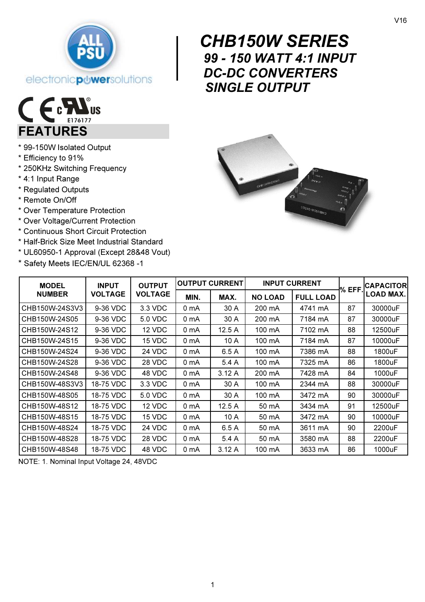

# E c 7 FEATURES

- \* 99-150W Isolated Output
- \* Efficiency to 91%
- \* 250KHz Switching Frequency
- \* 4:1 Input Range
- \* Regulated Outputs
- \* Remote On/Off
- \* Over Temperature Protection
- \* Over Voltage/Current Protection
- \* Continuous Short Circuit Protection
- \* Half-Brick Size Meet Industrial Standard
- \* UL60950-1 Approval (Except 28&48 Vout)
- \* Safety Meets IEC/EN/UL 62368 -1

# $\begin{array}{c} \n\begin{array}{c} \nC_1 \\
g_2 \\
D_1\n\end{array} \n\end{array}$  CHB150W SERIES 99 - 150 WATT 4:1 INPUT DC-DC CONVERTERS SINGLE OUTPUT



| <b>MODEL</b><br><b>NUMBER</b> | <b>INPUT</b><br><b>VOLTAGE</b> | <b>OUTPUT</b><br><b>VOLTAGE</b> | <b>OUTPUT CURRENT</b> |       | <b>INPUT CURRENT</b> |                  |       | <b>CAPACITOR</b> |
|-------------------------------|--------------------------------|---------------------------------|-----------------------|-------|----------------------|------------------|-------|------------------|
|                               |                                |                                 | MIN.                  | MAX.  | <b>NO LOAD</b>       | <b>FULL LOAD</b> | % EFF | LOAD MAX.        |
| CHB150W-24S3V3                | 9-36 VDC                       | 3.3 VDC                         | 0 mA                  | 30 A  | 200 mA               | 4741 mA          | 87    | 30000uF          |
| CHB150W-24S05                 | 9-36 VDC                       | 5.0 VDC                         | 0 mA                  | 30 A  | 200 mA               | 7184 mA          | 87    | 30000uF          |
| CHB150W-24S12                 | 9-36 VDC                       | 12 VDC                          | 0 mA                  | 12.5A | 100 mA               | 7102 mA          | 88    | 12500uF          |
| CHB150W-24S15                 | 9-36 VDC                       | 15 VDC                          | 0 mA                  | 10 A  | 100 mA               | 7184 mA          | 87    | 10000uF          |
| CHB150W-24S24                 | 9-36 VDC                       | 24 VDC                          | 0 mA                  | 6.5 A | 100 mA               | 7386 mA          | 88    | 1800uF           |
| CHB150W-24S28                 | 9-36 VDC                       | 28 VDC                          | 0 <sub>mA</sub>       | 5.4A  | 100 mA               | 7325 mA          | 86    | 1800uF           |
| CHB150W-24S48                 | 9-36 VDC                       | 48 VDC                          | 0 mA                  | 3.12A | 200 mA               | 7428 mA          | 84    | 1000uF           |
| CHB150W-48S3V3                | 18-75 VDC                      | 3.3 VDC                         | 0 mA                  | 30 A  | 100 mA               | 2344 mA          | 88    | 30000uF          |
| CHB150W-48S05                 | 18-75 VDC                      | 5.0 VDC                         | 0 mA                  | 30 A  | 100 mA               | 3472 mA          | 90    | 30000uF          |
| CHB150W-48S12                 | 18-75 VDC                      | 12 VDC                          | 0 <sub>mA</sub>       | 12.5A | 50 mA                | 3434 mA          | 91    | 12500uF          |
| CHB150W-48S15                 | 18-75 VDC                      | 15 VDC                          | 0 mA                  | 10 A  | 50 mA                | 3472 mA          | 90    | 10000uF          |
| CHB150W-48S24                 | 18-75 VDC                      | 24 VDC                          | 0 mA                  | 6.5A  | 50 mA                | 3611 mA          | 90    | 2200uF           |
| CHB150W-48S28                 | 18-75 VDC                      | 28 VDC                          | 0 mA                  | 5.4A  | 50 mA                | 3580 mA          | 88    | 2200uF           |
| CHB150W-48S48                 | 18-75 VDC                      | 48 VDC                          | 0 <sub>mA</sub>       | 3.12A | 100 mA               | 3633 mA          | 86    | 1000uF           |

NOTE: 1. Nominal Input Voltage 24, 48VDC